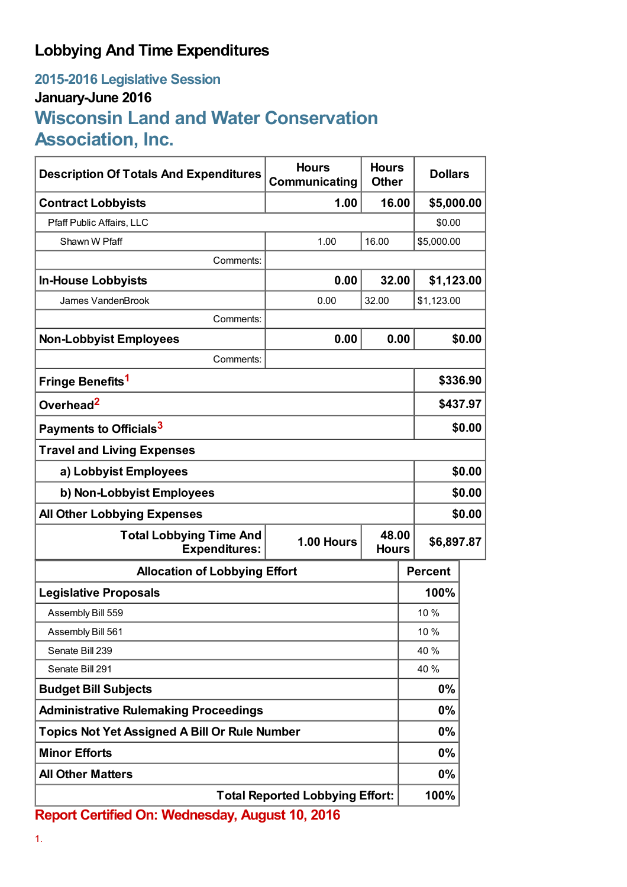## **Lobbying And Time Expenditures**

## **2015-2016 Legislative Session January-June 2016 Wisconsin Land and Water Conservation Association, Inc.**

| <b>Description Of Totals And Expenditures</b>          | <b>Hours</b><br>Communicating          | <b>Hours</b><br><b>Other</b> | <b>Dollars</b> |          |  |
|--------------------------------------------------------|----------------------------------------|------------------------------|----------------|----------|--|
| <b>Contract Lobbyists</b>                              | 1.00                                   | 16.00                        | \$5,000.00     |          |  |
| Pfaff Public Affairs, LLC                              |                                        |                              | \$0.00         |          |  |
| Shawn W Pfaff                                          | 1.00                                   | 16.00                        | \$5,000.00     |          |  |
| Comments:                                              |                                        |                              |                |          |  |
| <b>In-House Lobbyists</b>                              | 0.00                                   | 32.00                        | \$1,123.00     |          |  |
| James VandenBrook                                      | 0.00                                   | 32.00                        | \$1,123.00     |          |  |
| Comments:                                              |                                        |                              |                |          |  |
| <b>Non-Lobbyist Employees</b>                          | 0.00                                   | 0.00                         |                | \$0.00   |  |
| Comments:                                              |                                        |                              |                |          |  |
| Fringe Benefits <sup>1</sup>                           |                                        |                              |                | \$336.90 |  |
| Overhead <sup>2</sup>                                  |                                        |                              |                | \$437.97 |  |
| Payments to Officials <sup>3</sup>                     |                                        |                              |                | \$0.00   |  |
| <b>Travel and Living Expenses</b>                      |                                        |                              |                |          |  |
| a) Lobbyist Employees                                  |                                        |                              |                | \$0.00   |  |
| b) Non-Lobbyist Employees                              |                                        |                              |                | \$0.00   |  |
| <b>All Other Lobbying Expenses</b>                     |                                        |                              |                | \$0.00   |  |
| <b>Total Lobbying Time And</b><br><b>Expenditures:</b> | 48.00<br>1.00 Hours<br><b>Hours</b>    |                              | \$6,897.87     |          |  |
| <b>Allocation of Lobbying Effort</b>                   |                                        |                              | <b>Percent</b> |          |  |
| <b>Legislative Proposals</b>                           |                                        |                              | 100%           |          |  |
| Assembly Bill 559                                      |                                        |                              | 10 %           |          |  |
| Assembly Bill 561                                      |                                        |                              | 10 %           |          |  |
| Senate Bill 239                                        |                                        |                              | 40 %           |          |  |
| Senate Bill 291                                        |                                        |                              | 40 %           |          |  |
| <b>Budget Bill Subjects</b>                            |                                        |                              | 0%             |          |  |
| <b>Administrative Rulemaking Proceedings</b>           |                                        |                              | $0\%$          |          |  |
| <b>Topics Not Yet Assigned A Bill Or Rule Number</b>   |                                        |                              | $0\%$          |          |  |
| <b>Minor Efforts</b>                                   |                                        |                              | $0\%$          |          |  |
| <b>All Other Matters</b>                               |                                        |                              | $0\%$          |          |  |
|                                                        | <b>Total Reported Lobbying Effort:</b> |                              | 100%           |          |  |

**Report Certified On: Wednesday, August 10, 2016**